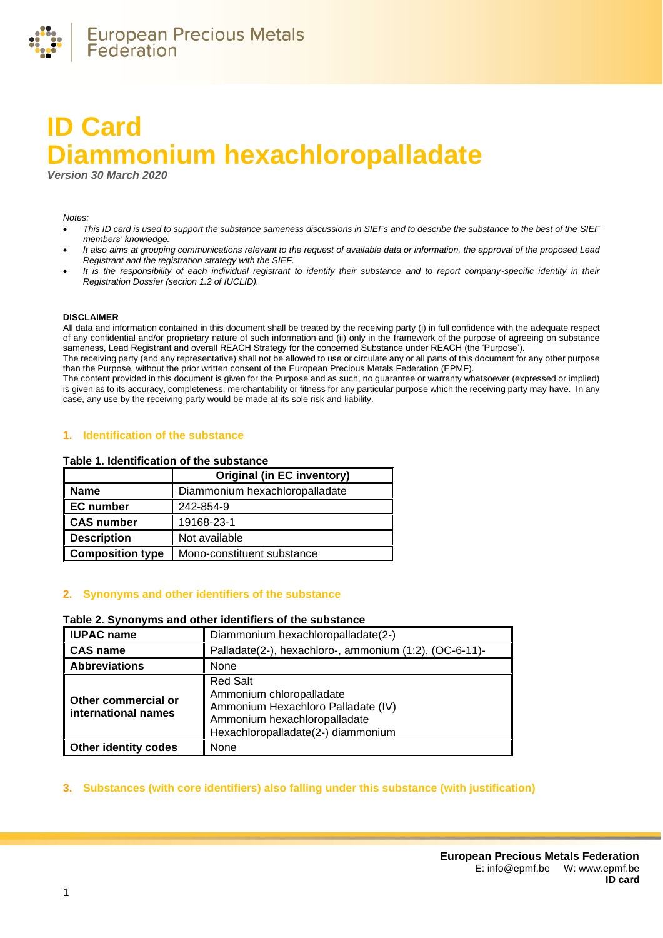

# **ID Card Diammonium hexachloropalladate**

*Version 30 March 2020*

*Notes:* 

- *This ID card is used to support the substance sameness discussions in SIEFs and to describe the substance to the best of the SIEF members' knowledge.*
- *It also aims at grouping communications relevant to the request of available data or information, the approval of the proposed Lead Registrant and the registration strategy with the SIEF.*
- *It is the responsibility of each individual registrant to identify their substance and to report company-specific identity in their Registration Dossier (section 1.2 of IUCLID).*

#### **DISCLAIMER**

All data and information contained in this document shall be treated by the receiving party (i) in full confidence with the adequate respect of any confidential and/or proprietary nature of such information and (ii) only in the framework of the purpose of agreeing on substance sameness, Lead Registrant and overall REACH Strategy for the concerned Substance under REACH (the 'Purpose').

The receiving party (and any representative) shall not be allowed to use or circulate any or all parts of this document for any other purpose than the Purpose, without the prior written consent of the European Precious Metals Federation (EPMF).

The content provided in this document is given for the Purpose and as such, no guarantee or warranty whatsoever (expressed or implied) is given as to its accuracy, completeness, merchantability or fitness for any particular purpose which the receiving party may have. In any case, any use by the receiving party would be made at its sole risk and liability.

### **1. Identification of the substance**

#### **Table 1. Identification of the substance**

|                         | <b>Original (in EC inventory)</b> |
|-------------------------|-----------------------------------|
| <b>Name</b>             | Diammonium hexachloropalladate    |
| <b>EC</b> number        | 242-854-9                         |
| <b>CAS number</b>       | 19168-23-1                        |
| <b>Description</b>      | Not available                     |
| <b>Composition type</b> | Mono-constituent substance        |

# **2. Synonyms and other identifiers of the substance**

### **Table 2. Synonyms and other identifiers of the substance**

| <b>IUPAC name</b>                          | Diammonium hexachloropalladate(2-)                                                                                                                      |  |
|--------------------------------------------|---------------------------------------------------------------------------------------------------------------------------------------------------------|--|
| <b>CAS name</b>                            | Palladate(2-), hexachloro-, ammonium (1:2), (OC-6-11)-                                                                                                  |  |
| <b>Abbreviations</b>                       | None                                                                                                                                                    |  |
| Other commercial or<br>international names | <b>Red Salt</b><br>Ammonium chloropalladate<br>Ammonium Hexachloro Palladate (IV)<br>Ammonium hexachloropalladate<br>Hexachloropalladate(2-) diammonium |  |
| <b>Other identity codes</b>                | None                                                                                                                                                    |  |

#### **3. Substances (with core identifiers) also falling under this substance (with justification)**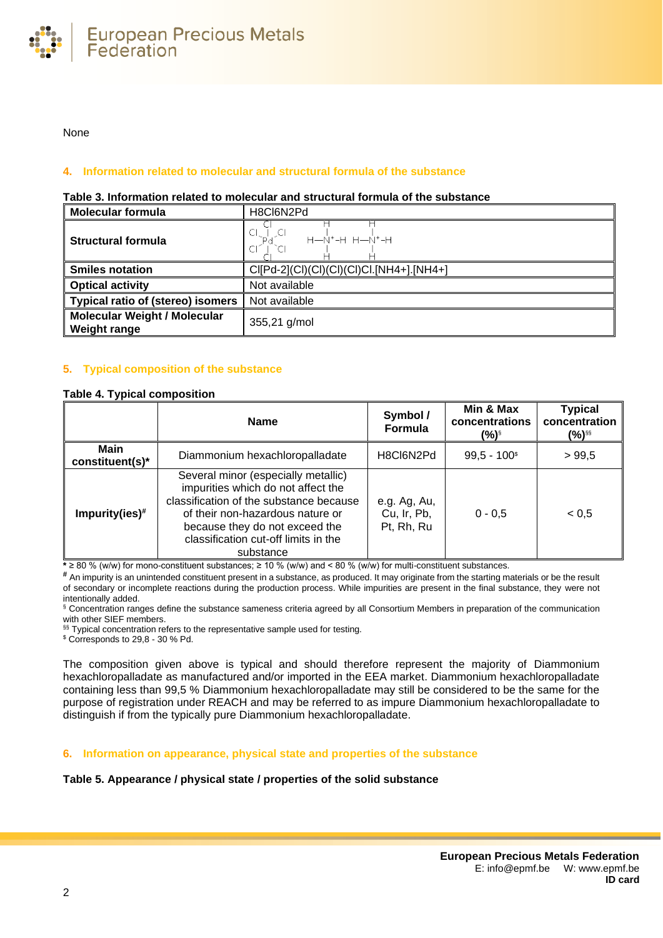

None

# **4. Information related to molecular and structural formula of the substance**

#### **Table 3. Information related to molecular and structural formula of the substance**

| <b>Molecular formula</b>                                   | H8Cl6N2Pd                                |  |
|------------------------------------------------------------|------------------------------------------|--|
| <b>Structural formula</b>                                  | 아남의<br>н—Ñ+-н н—Ñ+-н                     |  |
| <b>Smiles notation</b>                                     | CI[Pd-2](CI)(CI)(CI)(CI)CI.[NH4+].[NH4+] |  |
| <b>Optical activity</b>                                    | Not available                            |  |
| <b>Typical ratio of (stereo) isomers</b>                   | Not available                            |  |
| <b>Molecular Weight / Molecular</b><br><b>Weight range</b> | 355,21 g/mol                             |  |

# **5. Typical composition of the substance**

#### <span id="page-1-0"></span>**Table 4. Typical composition**

|                                | <b>Name</b>                                                                                                                                                                                                                                     | Symbol /<br>Formula                       | Min & Max<br>concentrations<br>(%)§ | <b>Typical</b><br>concentration<br>(%)§§ |
|--------------------------------|-------------------------------------------------------------------------------------------------------------------------------------------------------------------------------------------------------------------------------------------------|-------------------------------------------|-------------------------------------|------------------------------------------|
| <b>Main</b><br>constituent(s)* | Diammonium hexachloropalladate                                                                                                                                                                                                                  | H8Cl6N2Pd                                 | $99,5 - 100$ <sup>\$</sup>          | >99,5                                    |
| $Impurity(ies)*$               | Several minor (especially metallic)<br>impurities which do not affect the<br>classification of the substance because<br>of their non-hazardous nature or<br>because they do not exceed the<br>classification cut-off limits in the<br>substance | e.g. Ag, Au,<br>Cu, Ir, Pb,<br>Pt, Rh, Ru | $0 - 0.5$                           | < 0.5                                    |

**\*** ≥ 80 % (w/w) for mono-constituent substances; ≥ 10 % (w/w) and < 80 % (w/w) for multi-constituent substances.

**#** An impurity is an unintended constituent present in a substance, as produced. It may originate from the starting materials or be the result of secondary or incomplete reactions during the production process. While impurities are present in the final substance, they were not intentionally added.

§ Concentration ranges define the substance sameness criteria agreed by all Consortium Members in preparation of the communication with other SIEF members.

§§ Typical concentration refers to the representative sample used for testing.

\$ Corresponds to 29,8 - 30 % Pd.

The composition given above is typical and should therefore represent the majority of Diammonium hexachloropalladate as manufactured and/or imported in the EEA market. Diammonium hexachloropalladate containing less than 99,5 % Diammonium hexachloropalladate may still be considered to be the same for the purpose of registration under REACH and may be referred to as impure Diammonium hexachloropalladate to distinguish if from the typically pure Diammonium hexachloropalladate.

**6. Information on appearance, physical state and properties of the substance**

# **Table 5. Appearance / physical state / properties of the solid substance**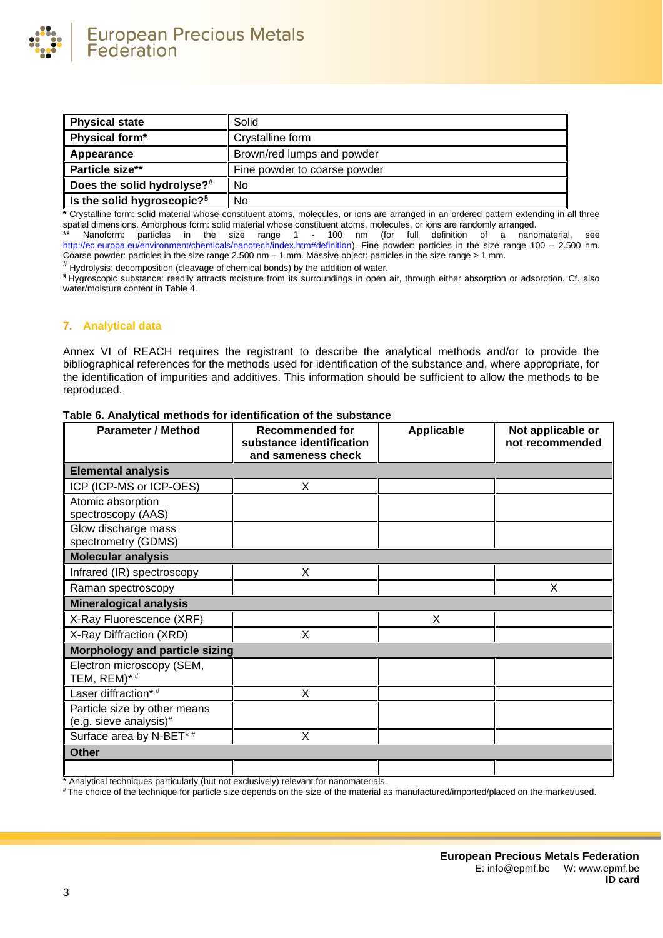

| <b>Physical state</b>                  | Solid                        |  |
|----------------------------------------|------------------------------|--|
| Physical form*                         | Crystalline form             |  |
| Appearance                             | Brown/red lumps and powder   |  |
| Particle size**                        | Fine powder to coarse powder |  |
| Does the solid hydrolyse?#             | No                           |  |
| Is the solid hygroscopic? <sup>§</sup> | No                           |  |

**\*** Crystalline form: solid material whose constituent atoms, molecules, or ions are arranged in an ordered pattern extending in all three spatial dimensions. Amorphous form: solid material whose constituent atoms, molecules, or ions are randomly arranged.

Nanoform: particles in the size range 1 - 100 nm (for full definition of a nanomaterial, see [http://ec.europa.eu/environment/chemicals/nanotech/index.htm#definition\)](http://ec.europa.eu/environment/chemicals/nanotech/index.htm#definition). Fine powder: particles in the size range 100 – 2.500 nm. Coarse powder: particles in the size range 2.500 nm – 1 mm. Massive object: particles in the size range > 1 mm.

**#** Hydrolysis: decomposition (cleavage of chemical bonds) by the addition of water.

**§** Hygroscopic substance: readily attracts moisture from its surroundings in open air, through either absorption or adsorption. Cf. also water/moisture content i[n Table 4.](#page-1-0)

# **7. Analytical data**

Annex VI of REACH requires the registrant to describe the analytical methods and/or to provide the bibliographical references for the methods used for identification of the substance and, where appropriate, for the identification of impurities and additives. This information should be sufficient to allow the methods to be reproduced.

| <b>Parameter / Method</b>                              | <b>Recommended for</b><br>substance identification | <b>Applicable</b> | Not applicable or<br>not recommended |
|--------------------------------------------------------|----------------------------------------------------|-------------------|--------------------------------------|
|                                                        | and sameness check                                 |                   |                                      |
| <b>Elemental analysis</b>                              |                                                    |                   |                                      |
| ICP (ICP-MS or ICP-OES)                                | X                                                  |                   |                                      |
| Atomic absorption<br>spectroscopy (AAS)                |                                                    |                   |                                      |
| Glow discharge mass<br>spectrometry (GDMS)             |                                                    |                   |                                      |
| <b>Molecular analysis</b>                              |                                                    |                   |                                      |
| Infrared (IR) spectroscopy                             | X                                                  |                   |                                      |
| Raman spectroscopy                                     |                                                    |                   | X                                    |
| <b>Mineralogical analysis</b>                          |                                                    |                   |                                      |
| X-Ray Fluorescence (XRF)                               |                                                    | X                 |                                      |
| X-Ray Diffraction (XRD)                                | X                                                  |                   |                                      |
| <b>Morphology and particle sizing</b>                  |                                                    |                   |                                      |
| Electron microscopy (SEM,<br>TEM, $REM$ )* #           |                                                    |                   |                                      |
| Laser diffraction*#                                    | X                                                  |                   |                                      |
| Particle size by other means<br>(e.g. sieve analysis)# |                                                    |                   |                                      |
| Surface area by N-BET*#                                | X                                                  |                   |                                      |
| <b>Other</b>                                           |                                                    |                   |                                      |
|                                                        |                                                    |                   |                                      |

**Table 6. Analytical methods for identification of the substance**

\* Analytical techniques particularly (but not exclusively) relevant for nanomaterials.

# The choice of the technique for particle size depends on the size of the material as manufactured/imported/placed on the market/used.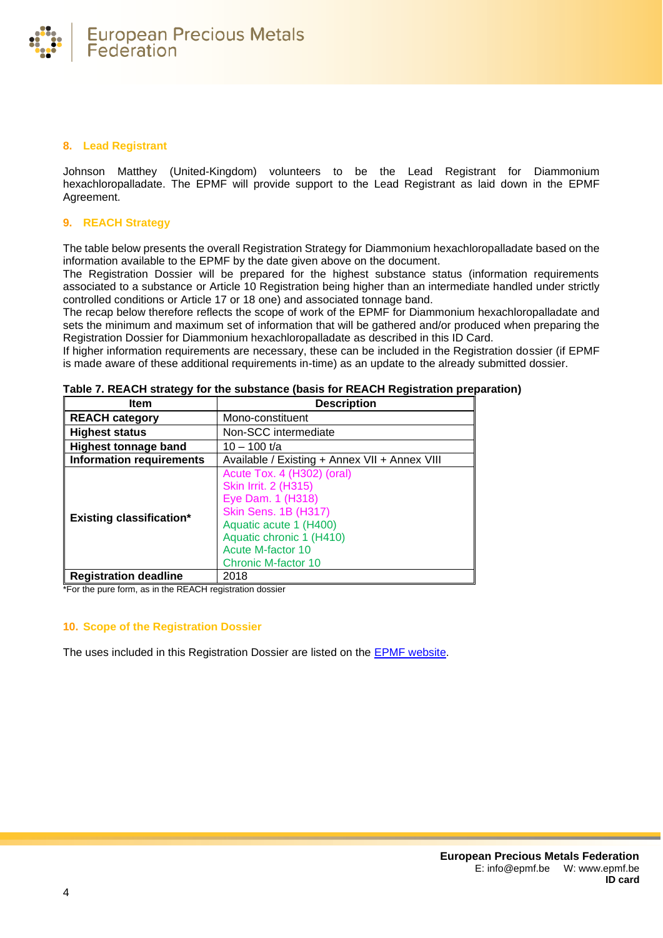

### **8. Lead Registrant**

Johnson Matthey (United-Kingdom) volunteers to be the Lead Registrant for Diammonium hexachloropalladate. The EPMF will provide support to the Lead Registrant as laid down in the EPMF Agreement.

### **9. REACH Strategy**

The table below presents the overall Registration Strategy for Diammonium hexachloropalladate based on the information available to the EPMF by the date given above on the document.

The Registration Dossier will be prepared for the highest substance status (information requirements associated to a substance or Article 10 Registration being higher than an intermediate handled under strictly controlled conditions or Article 17 or 18 one) and associated tonnage band.

The recap below therefore reflects the scope of work of the EPMF for Diammonium hexachloropalladate and sets the minimum and maximum set of information that will be gathered and/or produced when preparing the Registration Dossier for Diammonium hexachloropalladate as described in this ID Card.

If higher information requirements are necessary, these can be included in the Registration dossier (if EPMF is made aware of these additional requirements in-time) as an update to the already submitted dossier.

| ltem                            | <b>Description</b>                                                                                                                                                                                                     |  |
|---------------------------------|------------------------------------------------------------------------------------------------------------------------------------------------------------------------------------------------------------------------|--|
| <b>REACH category</b>           | Mono-constituent                                                                                                                                                                                                       |  |
| <b>Highest status</b>           | Non-SCC intermediate                                                                                                                                                                                                   |  |
| <b>Highest tonnage band</b>     | $10 - 100$ t/a                                                                                                                                                                                                         |  |
| <b>Information requirements</b> | Available / Existing + Annex VII + Annex VIII                                                                                                                                                                          |  |
| <b>Existing classification*</b> | Acute Tox. 4 (H302) (oral)<br><b>Skin Irrit. 2 (H315)</b><br>Eye Dam. 1 (H318)<br><b>Skin Sens. 1B (H317)</b><br>Aquatic acute 1 (H400)<br>Aquatic chronic 1 (H410)<br><b>Acute M-factor 10</b><br>Chronic M-factor 10 |  |
| <b>Registration deadline</b>    | 2018                                                                                                                                                                                                                   |  |

|  | Table 7. REACH strategy for the substance (basis for REACH Registration preparation) |  |
|--|--------------------------------------------------------------------------------------|--|
|--|--------------------------------------------------------------------------------------|--|

\*For the pure form, as in the REACH registration dossier

#### **10. Scope of the Registration Dossier**

The uses included in this Registration Dossier are listed on the [EPMF website.](https://www.epmf.be/)